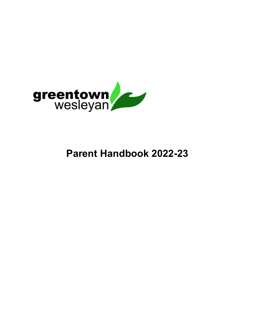

# Parent Handbook 2022-23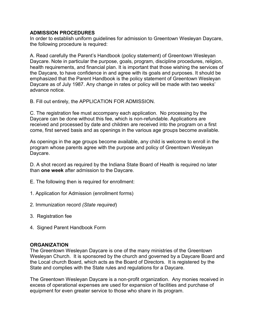### ADMISSION PROCEDURES

In order to establish uniform guidelines for admission to Greentown Wesleyan Daycare, the following procedure is required:

A. Read carefully the Parent's Handbook (policy statement) of Greentown Wesleyan Daycare. Note in particular the purpose, goals, program, discipline procedures, religion, health requirements, and financial plan. It is important that those wishing the services of the Daycare, to have confidence in and agree with its goals and purposes. It should be emphasized that the Parent Handbook is the policy statement of Greentown Wesleyan Daycare as of July 1987. Any change in rates or policy will be made with two weeks' advance notice.

B. Fill out entirely, the APPLICATION FOR ADMISSION.

C. The registration fee must accompany each application. No processing by the Daycare can be done without this fee, which is non-refundable. Applications are received and processed by date and children are received into the program on a first come, first served basis and as openings in the various age groups become available.

As openings in the age groups become available, any child is welcome to enroll in the program whose parents agree with the purpose and policy of Greentown Wesleyan Daycare.

D. A shot record as required by the Indiana State Board of Health is required no later than one week after admission to the Daycare.

- E. The following then is required for enrollment:
- 1. Application for Admission (enrollment forms)
- 2. Immunization record (State required)
- 3. Registration fee
- 4. Signed Parent Handbook Form

#### **ORGANIZATION**

The Greentown Wesleyan Daycare is one of the many ministries of the Greentown Wesleyan Church. It is sponsored by the church and governed by a Daycare Board and the Local church Board, which acts as the Board of Directors. It is registered by the State and complies with the State rules and regulations for a Daycare.

The Greentown Wesleyan Daycare is a non-profit organization. Any monies received in excess of operational expenses are used for expansion of facilities and purchase of equipment for even greater service to those who share in its program.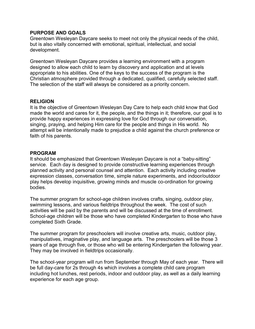#### PURPOSE AND GOALS

Greentown Wesleyan Daycare seeks to meet not only the physical needs of the child, but is also vitally concerned with emotional, spiritual, intellectual, and social development.

Greentown Wesleyan Daycare provides a learning environment with a program designed to allow each child to learn by discovery and application and at levels appropriate to his abilities. One of the keys to the success of the program is the Christian atmosphere provided through a dedicated, qualified, carefully selected staff. The selection of the staff will always be considered as a priority concern.

#### RELIGION

It is the objective of Greentown Wesleyan Day Care to help each child know that God made the world and cares for it, the people, and the things in it; therefore, our goal is to provide happy experiences in expressing love for God through our conversation, singing, praying, and helping Him care for the people and things in His world. No attempt will be intentionally made to prejudice a child against the church preference or faith of his parents.

#### PROGRAM

It should be emphasized that Greentown Wesleyan Daycare is not a "baby-sitting" service. Each day is designed to provide constructive learning experiences through planned activity and personal counsel and attention. Each activity including creative expression classes, conversation time, simple nature experiments, and indoor/outdoor play helps develop inquisitive, growing minds and muscle co-ordination for growing bodies.

The summer program for school-age children involves crafts, singing, outdoor play, swimming lessons, and various fieldtrips throughout the week. The cost of such activities will be paid by the parents and will be discussed at the time of enrollment. School-age children will be those who have completed Kindergarten to those who have completed Sixth Grade.

The summer program for preschoolers will involve creative arts, music, outdoor play, manipulatives, imaginative play, and language arts. The preschoolers will be those 3 years of age through five, or those who will be entering Kindergarten the following year. They may be involved in fieldtrips occasionally.

The school-year program will run from September through May of each year. There will be full day-care for 2s through 4s which involves a complete child care program including hot lunches, rest periods, indoor and outdoor play, as well as a daily learning experience for each age group.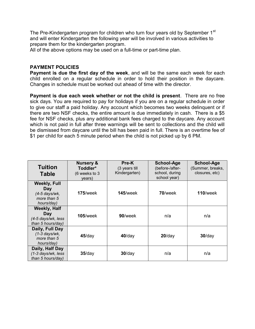The Pre-Kindergarten program for children who turn four years old by September 1<sup>st</sup> and will enter Kindergarten the following year will be involved in various activities to prepare them for the kindergarten program.

All of the above options may be used on a full-time or part-time plan.

## PAYMENT POLICIES

Payment is due the first day of the week, and will be the same each week for each child enrolled on a regular schedule in order to hold their position in the daycare. Changes in schedule must be worked out ahead of time with the director.

Payment is due each week whether or not the child is present. There are no free sick days. You are required to pay for holidays if you are on a regular schedule in order to give our staff a paid holiday. Any account which becomes two weeks delinquent or if there are two NSF checks, the entire amount is due immediately in cash. There is a \$5 fee for NSF checks, plus any additional bank fees charged to the daycare. Any account which is not paid in full after three warnings will be sent to collections and the child will be dismissed from daycare until the bill has been paid in full. There is an overtime fee of \$1 per child for each 5 minute period when the child is not picked up by 6 PM.

| <b>Tuition</b><br><b>Table</b>                                           | <b>Nursery &amp;</b><br>Toddler*<br>(6 weeks to 3<br>years) | Pre-K<br>(3 years till<br>Kindergarten) | <b>School-Age</b><br>(before-/after-<br>school, during<br>school year) | <b>School-Age</b><br>(Summer, breaks,<br>closures, etc) |
|--------------------------------------------------------------------------|-------------------------------------------------------------|-----------------------------------------|------------------------------------------------------------------------|---------------------------------------------------------|
| <b>Weekly, Full</b><br>Day<br>(4-5 days/wk,<br>more than 5<br>hours/day) | $175$ /week                                                 | $145$ /week                             | $70$ /week                                                             | $110$ /week                                             |
| <b>Weekly, Half</b><br>Day<br>(4-5 days/wk, less<br>than 5 hours/day)    | <b>105/week</b>                                             | 90/week                                 | n/a                                                                    | n/a                                                     |
| Daily, Full Day<br>$(1-3$ days/wk,<br>more than 5<br>hours/day)          | $45$ /day                                                   | $40$ /day                               | $20$ /day                                                              | $30$ /day                                               |
| Daily, Half Day<br>(1-3 days/wk, less<br>than 5 hours/day)               | $35$ /day                                                   | $30$ /day                               | n/a                                                                    | n/a                                                     |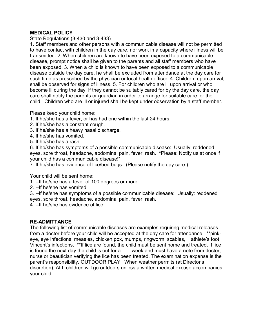# MEDICAL POLICY

State Regulations (3-430 and 3-433)

1. Staff members and other persons with a communicable disease will not be permitted to have contact with children in the day care, nor work in a capacity where illness will be transmitted. 2. When children are known to have been exposed to a communicable disease, prompt notice shall be given to the parents and all staff members who have been exposed. 3. When a child is known to have been exposed to a communicable disease outside the day care, he shall be excluded from attendance at the day care for such time as prescribed by the physician or local health officer. 4. Children, upon arrival, shall be observed for signs of illness. 5. For children who are ill upon arrival or who become ill during the day; if they cannot be suitably cared for by the day care, the day care shall notify the parents or guardian in order to arrange for suitable care for the child. Children who are ill or injured shall be kept under observation by a staff member.

Please keep your child home:

- 1. If he/she has a fever, or has had one within the last 24 hours.
- 2. If he/she has a constant cough.
- 3. If he/she has a heavy nasal discharge.
- 4. If he/she has vomited.
- 5. If he/she has a rash.

6. If he/she has symptoms of a possible communicable disease: Usually: reddened eyes, sore throat, headache, abdominal pain, fever, rash. \*Please: Notify us at once if your child has a communicable disease!\*

7. If he/she has evidence of lice/bed bugs. (Please notify the day care.)

Your child will be sent home:

1. --If he/she has a fever of 100 degrees or more.

2. --If he/she has vomited.

3. --If he/she has symptoms of a possible communicable disease: Usually: reddened eyes, sore throat, headache, abdominal pain, fever, rash.

4. --If he/she has evidence of lice.

# RE-ADMITTANCE

The following list of communicable diseases are examples requiring medical releases from a doctor before your child will be accepted at the day care for attendance: \*\*pinkeye, eye infections, measles, chicken pox, mumps, ringworm, scabies, athlete's foot, Vincent's infections. \*\*If lice are found, the child must be sent home and treated. If lice is found the next day the child is out for a week and must have a note from doctor, nurse or beautician verifying the lice has been treated. The examination expense is the parent's responsibility. OUTDOOR PLAY: When weather permits (at Director's discretion), ALL children will go outdoors unless a written medical excuse accompanies your child.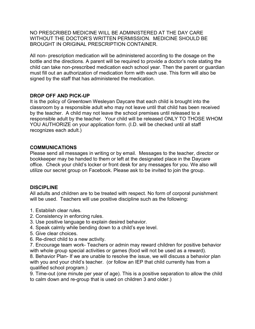NO PRESCRIBED MEDICINE WILL BE ADMINISTERED AT THE DAY CARE WITHOUT THE DOCTOR'S WRITTEN PERMISSION. MEDICINE SHOULD BE BROUGHT IN ORIGINAL PRESCRIPTION CONTAINER.

All non- prescription medication will be administered according to the dosage on the bottle and the directions. A parent will be required to provide a doctor's note stating the child can take non-prescribed medication each school year. Then the parent or guardian must fill out an authorization of medication form with each use. This form will also be signed by the staff that has administered the medication.

# DROP OFF AND PICK-UP

It is the policy of Greentown Wesleyan Daycare that each child is brought into the classroom by a responsible adult who may not leave until that child has been received by the teacher. A child may not leave the school premises until released to a responsible adult by the teacher. Your child will be released ONLY TO THOSE WHOM YOU AUTHORIZE on your application form. (I.D. will be checked until all staff recognizes each adult.)

#### COMMUNICATIONS

Please send all messages in writing or by email. Messages to the teacher, director or bookkeeper may be handed to them or left at the designated place in the Daycare office. Check your child's locker or front desk for any messages for you. We also will utilize our secret group on Facebook. Please ask to be invited to join the group.

#### DISCIPLINE

All adults and children are to be treated with respect. No form of corporal punishment will be used. Teachers will use positive discipline such as the following:

- 1. Establish clear rules.
- 2. Consistency in enforcing rules.
- 3. Use positive language to explain desired behavior.
- 4. Speak calmly while bending down to a child's eye level.
- 5. Give clear choices.
- 6. Re-direct child to a new activity.

7. Encourage team work- Teachers or admin may reward children for positive behavior with whole group special activities or games (food will not be used as a reward).

8. Behavior Plan- If we are unable to resolve the issue, we will discuss a behavior plan with you and your child's teacher. (or follow an IEP that child currently has from a qualified school program.)

9. Time-out (one minute per year of age). This is a positive separation to allow the child to calm down and re-group that is used on children 3 and older.)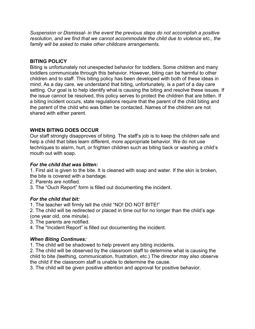Suspension or Dismissal- in the event the previous steps do not accomplish a positive resolution, and we find that we cannot accommodate the child due to violence etc., the family will be asked to make other childcare arrangements.

#### BITING POLICY

Biting is unfortunately not unexpected behavior for toddlers. Some children and many toddlers communicate through this behavior. However, biting can be harmful to other children and to staff. This biting policy has been developed with both of these ideas in mind. As a day care, we understand that biting, unfortunately, is a part of a day care setting. Our goal is to help identify what is causing the biting and resolve these issues. If the issue cannot be resolved, this policy serves to protect the children that are bitten. If a biting incident occurs, state regulations require that the parent of the child biting and the parent of the child who was bitten be contacted. Names of the children are not shared with either parent.

# WHEN BITING DOES OCCUR

Our staff strongly disapproves of biting. The staff's job is to keep the children safe and help a child that bites learn different, more appropriate behavior. We do not use techniques to alarm, hurt, or frighten children such as biting back or washing a child's mouth out with soap.

#### For the child that was bitten:

1. First aid is given to the bite. It is cleaned with soap and water. If the skin is broken, the bite is covered with a bandage.

- 2. Parents are notified.
- 3. The "Ouch Report" form is filled out documenting the incident.

#### For the child that bit:

- 1. The teacher will firmly tell the child "NO! DO NOT BITE!"
- 2. The child will be redirected or placed in time out for no longer than the child's age (one year old, one minute).
- 3. The parents are notified.
- 4. The "Incident Report" is filled out documenting the incident.

#### When Biting Continues:

1. The child will be shadowed to help prevent any biting incidents.

2. The child will be observed by the classroom staff to determine what is causing the child to bite (teething, communication, frustration, etc.) The director may also observe the child if the classroom staff is unable to determine the cause.

3. The child will be given positive attention and approval for positive behavior.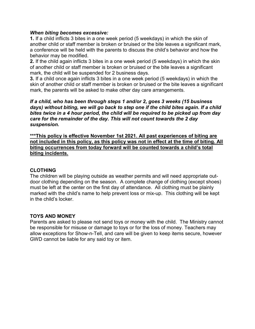#### When biting becomes excessive:

1. If a child inflicts 3 bites in a one week period (5 weekdays) in which the skin of another child or staff member is broken or bruised or the bite leaves a significant mark, a conference will be held with the parents to discuss the child's behavior and how the behavior may be modified.

2. If the child again inflicts 3 bites in a one week period (5 weekdays) in which the skin of another child or staff member is broken or bruised or the bite leaves a significant mark, the child will be suspended for 2 business days.

3. If a child once again inflicts 3 bites in a one week period (5 weekdays) in which the skin of another child or staff member is broken or bruised or the bite leaves a significant mark, the parents will be asked to make other day care arrangements.

If a child, who has been through steps 1 and/or 2, goes 3 weeks (15 business days) without biting, we will go back to step one if the child bites again. If a child bites twice in a 4 hour period, the child will be required to be picked up from day care for the remainder of the day. This will not count towards the 2 day suspension.

\*\*\*This policy is effective November 1st 2021. All past experiences of biting are not included in this policy, as this policy was not in effect at the time of biting. All biting occurrences from today forward will be counted towards a child's total biting incidents.

#### CLOTHING

The children will be playing outside as weather permits and will need appropriate outdoor clothing depending on the season. A complete change of clothing (except shoes) must be left at the center on the first day of attendance. All clothing must be plainly marked with the child's name to help prevent loss or mix-up. This clothing will be kept in the child's locker.

#### TOYS AND MONEY

Parents are asked to please not send toys or money with the child. The Ministry cannot be responsible for misuse or damage to toys or for the loss of money. Teachers may allow exceptions for Show-n-Tell, and care will be given to keep items secure, however GWD cannot be liable for any said toy or item.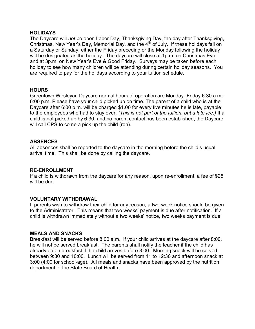#### **HOLIDAYS**

The Daycare will not be open Labor Day, Thanksgiving Day, the day after Thanksgiving, Christmas, New Year's Day, Memorial Day, and the  $4<sup>th</sup>$  of July. If these holidays fall on a Saturday or Sunday, either the Friday preceding or the Monday following the holiday will be designated as the holiday. The daycare will close at 1p.m. on Christmas Eve, and at 3p.m. on New Year's Eve & Good Friday. Surveys may be taken before each holiday to see how many children will be attending during certain holiday seasons. You are required to pay for the holidays according to your tuition schedule.

#### HOURS

Greentown Wesleyan Daycare normal hours of operation are Monday- Friday 6:30 a.m.- 6:00 p.m. Please have your child picked up on time. The parent of a child who is at the Daycare after 6:00 p.m. will be charged \$1.00 for every five minutes he is late, payable to the employees who had to stay over. (This is not part of the tuition, but a late fee.) If a child is not picked up by 6:30, and no parent contact has been established, the Daycare will call CPS to come a pick up the child (ren).

#### **ABSENCES**

All absences shall be reported to the daycare in the morning before the child's usual arrival time. This shall be done by calling the daycare.

#### RE-ENROLLMENT

If a child is withdrawn from the daycare for any reason, upon re-enrollment, a fee of \$25 will be due.

#### VOLUNTARY WITHDRAWAL

If parents wish to withdraw their child for any reason, a two-week notice should be given to the Administrator. This means that two weeks' payment is due after notification. If a child is withdrawn immediately without a two weeks' notice, two weeks payment is due.

#### MEALS AND SNACKS

Breakfast will be served before 8:00 a.m. If your child arrives at the daycare after 8:00, he will not be served breakfast. The parents shall notify the teacher if the child has already eaten breakfast if the child arrives before 8:00. Morning snack will be served between 9:30 and 10:00. Lunch will be served from 11 to 12:30 and afternoon snack at 3:00 (4:00 for school-age). All meals and snacks have been approved by the nutrition department of the State Board of Health.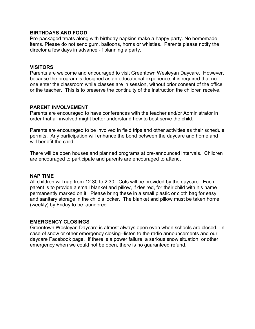#### BIRTHDAYS AND FOOD

Pre-packaged treats along with birthday napkins make a happy party. No homemade items. Please do not send gum, balloons, horns or whistles. Parents please notify the director a few days in advance -if planning a party.

#### VISITORS

Parents are welcome and encouraged to visit Greentown Wesleyan Daycare. However, because the program is designed as an educational experience, it is required that no one enter the classroom while classes are in session, without prior consent of the office or the teacher. This is to preserve the continuity of the instruction the children receive.

#### PARENT INVOLVEMENT

Parents are encouraged to have conferences with the teacher and/or Administrator in order that all involved might better understand how to best serve the child.

Parents are encouraged to be involved in field trips and other activities as their schedule permits. Any participation will enhance the bond between the daycare and home and will benefit the child

There will be open houses and planned programs at pre-announced intervals. Children are encouraged to participate and parents are encouraged to attend.

#### NAP TIME

All children will nap from 12:30 to 2:30. Cots will be provided by the daycare. Each parent is to provide a small blanket and pillow, if desired, for their child with his name permanently marked on it. Please bring these in a small plastic or cloth bag for easy and sanitary storage in the child's locker. The blanket and pillow must be taken home (weekly) by Friday to be laundered.

#### EMERGENCY CLOSINGS

Greentown Wesleyan Daycare is almost always open even when schools are closed. In case of snow or other emergency closing--listen to the radio announcements and our daycare Facebook page. If there is a power failure, a serious snow situation, or other emergency when we could not be open, there is no guaranteed refund.